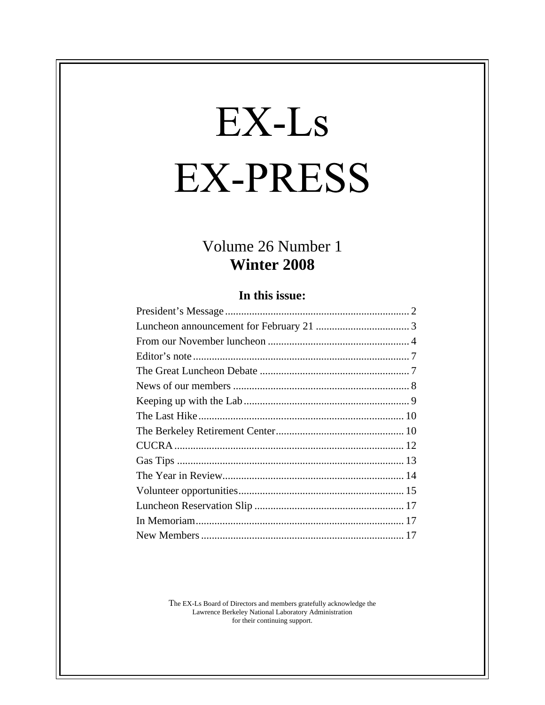# EX-Ls **EX-PRESS**

# Volume 26 Number 1 **Winter 2008**

#### **In this issue:**

The EX-Ls Board of Directors and members gratefully acknowledge the Lawrence Berkeley National Laboratory Administration for their continuing support.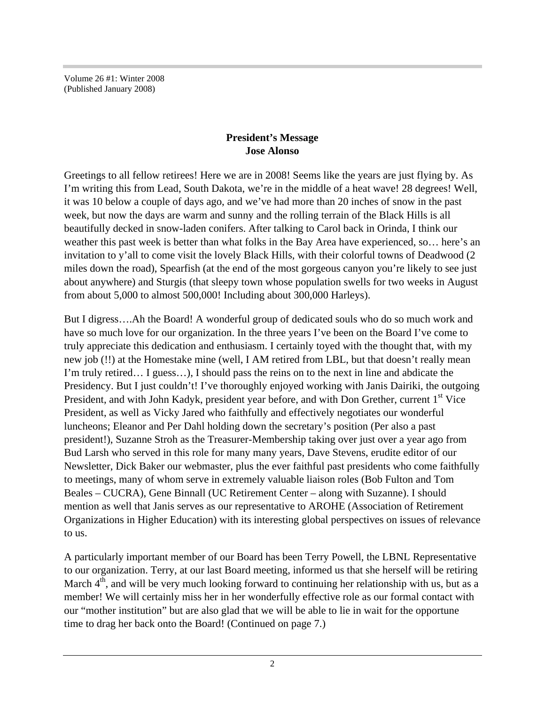Volume 26 #1: Winter 2008 (Published January 2008)

#### **President's Message Jose Alonso**

Greetings to all fellow retirees! Here we are in 2008! Seems like the years are just flying by. As I'm writing this from Lead, South Dakota, we're in the middle of a heat wave! 28 degrees! Well, it was 10 below a couple of days ago, and we've had more than 20 inches of snow in the past week, but now the days are warm and sunny and the rolling terrain of the Black Hills is all beautifully decked in snow-laden conifers. After talking to Carol back in Orinda, I think our weather this past week is better than what folks in the Bay Area have experienced, so… here's an invitation to y'all to come visit the lovely Black Hills, with their colorful towns of Deadwood (2 miles down the road), Spearfish (at the end of the most gorgeous canyon you're likely to see just about anywhere) and Sturgis (that sleepy town whose population swells for two weeks in August from about 5,000 to almost 500,000! Including about 300,000 Harleys).

But I digress….Ah the Board! A wonderful group of dedicated souls who do so much work and have so much love for our organization. In the three years I've been on the Board I've come to truly appreciate this dedication and enthusiasm. I certainly toyed with the thought that, with my new job (!!) at the Homestake mine (well, I AM retired from LBL, but that doesn't really mean I'm truly retired… I guess…), I should pass the reins on to the next in line and abdicate the Presidency. But I just couldn't! I've thoroughly enjoyed working with Janis Dairiki, the outgoing President, and with John Kadyk, president year before, and with Don Grether, current 1<sup>st</sup> Vice President, as well as Vicky Jared who faithfully and effectively negotiates our wonderful luncheons; Eleanor and Per Dahl holding down the secretary's position (Per also a past president!), Suzanne Stroh as the Treasurer-Membership taking over just over a year ago from Bud Larsh who served in this role for many many years, Dave Stevens, erudite editor of our Newsletter, Dick Baker our webmaster, plus the ever faithful past presidents who come faithfully to meetings, many of whom serve in extremely valuable liaison roles (Bob Fulton and Tom Beales – CUCRA), Gene Binnall (UC Retirement Center – along with Suzanne). I should mention as well that Janis serves as our representative to AROHE (Association of Retirement Organizations in Higher Education) with its interesting global perspectives on issues of relevance to us.

A particularly important member of our Board has been Terry Powell, the LBNL Representative to our organization. Terry, at our last Board meeting, informed us that she herself will be retiring March  $4<sup>th</sup>$ , and will be very much looking forward to continuing her relationship with us, but as a member! We will certainly miss her in her wonderfully effective role as our formal contact with our "mother institution" but are also glad that we will be able to lie in wait for the opportune time to drag her back onto the Board! (Continued on page 7.)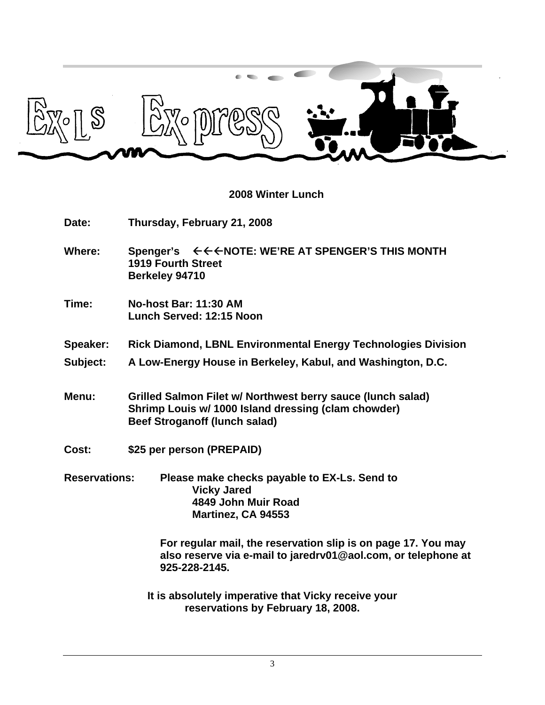

#### **2008 Winter Lunch**

**Date: Thursday, February 21, 2008**

- Where: **Spenger's**  $\leftarrow \leftarrow \leftarrow \text{NOTE: WE'RE AT SPENGER'S THIS MOMTH}$ **1919 Fourth Street Berkeley 94710**
- **Time: No-host Bar: 11:30 AM Lunch Served: 12:15 Noon**

**Speaker: Rick Diamond, LBNL Environmental Energy Technologies Division**

- **Subject: A Low-Energy House in Berkeley, Kabul, and Washington, D.C.**
- **Menu: Grilled Salmon Filet w/ Northwest berry sauce (lunch salad) Shrimp Louis w/ 1000 Island dressing (clam chowder) Beef Stroganoff (lunch salad)**
- **Cost: \$25 per person (PREPAID)**
- **Reservations: Please make checks payable to EX-Ls. Send to Vicky Jared 4849 John Muir Road Martinez, CA 94553**

**For regular mail, the reservation slip is on page 17. You may also reserve via e-mail to jaredrv01@aol.com, or telephone at 925-228-2145.**

**It is absolutely imperative that Vicky receive your reservations by February 18, 2008.**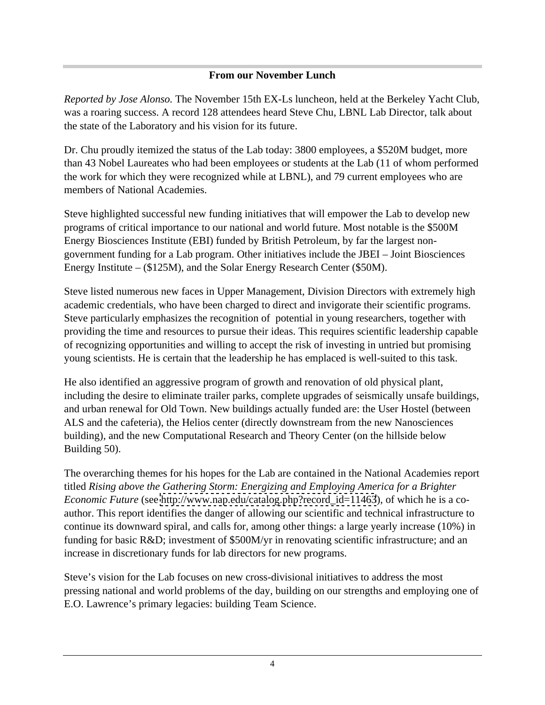#### **From our November Lunch**

*Reported by Jose Alonso.* The November 15th EX-Ls luncheon, held at the Berkeley Yacht Club, was a roaring success. A record 128 attendees heard Steve Chu, LBNL Lab Director, talk about the state of the Laboratory and his vision for its future.

Dr. Chu proudly itemized the status of the Lab today: 3800 employees, a \$520M budget, more than 43 Nobel Laureates who had been employees or students at the Lab (11 of whom performed the work for which they were recognized while at LBNL), and 79 current employees who are members of National Academies.

Steve highlighted successful new funding initiatives that will empower the Lab to develop new programs of critical importance to our national and world future. Most notable is the \$500M Energy Biosciences Institute (EBI) funded by British Petroleum, by far the largest non government funding for a Lab program. Other initiatives include the JBEI – Joint Biosciences Energy Institute – (\$125M), and the Solar Energy Research Center (\$50M).

Steve listed numerous new faces in Upper Management, Division Directors with extremely high academic credentials, who have been charged to direct and invigorate their scientific programs. Steve particularly emphasizes the recognition of potential in young researchers, together with providing the time and resources to pursue their ideas. This requires scientific leadership capable of recognizing opportunities and willing to accept the risk of investing in untried but promising young scientists. He is certain that the leadership he has emplaced is well-suited to this task.

He also identified an aggressive program of growth and renovation of old physical plant, including the desire to eliminate trailer parks, complete upgrades of seismically unsafe buildings, and urban renewal for Old Town. New buildings actually funded are: the User Hostel (between ALS and the cafeteria), the Helios center (directly downstream from the new Nanosciences building), and the new Computational Research and Theory Center (on the hillside below Building 50).

The overarching themes for his hopes for the Lab are contained in the National Academies report titled *Rising above the Gathering Storm: Energizing and Employing America for a Brighter Economic Future* (see http://www.nap.edu/catalog.php?record id=11463), of which he is a coauthor. This report identifies the danger of allowing our scientific and technical infrastructure to continue its downward spiral, and calls for, among other things: a large yearly increase (10%) in funding for basic R&D; investment of \$500M/yr in renovating scientific infrastructure; and an increase in discretionary funds for lab directors for new programs.

Steve's vision for the Lab focuses on new cross-divisional initiatives to address the most pressing national and world problems of the day, building on our strengths and employing one of E.O. Lawrence's primary legacies: building Team Science.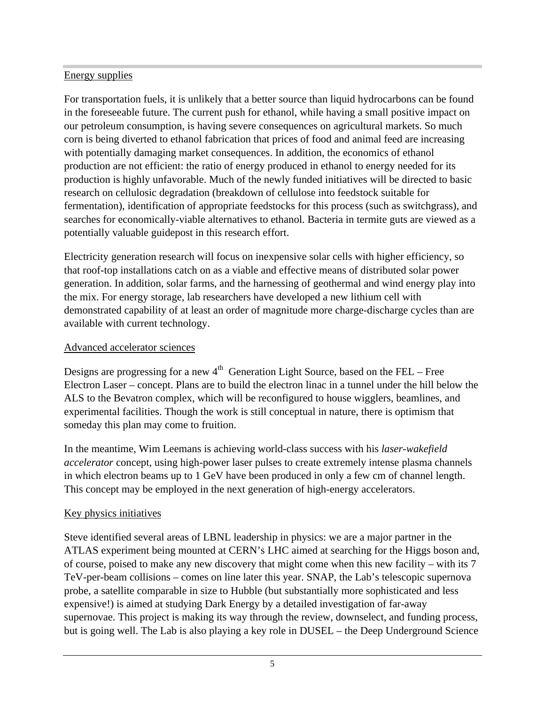#### **Energy supplies** Energy supplies

For transportation fuels, it is unlikely that a better source than liquid hydrocarbons can be found in the foreseeable future. The current push for ethanol, while having a small positive impact on our petroleum consumption, is having severe consequences on agricultural markets. So much corn is being diverted to ethanol fabrication that prices of food and animal feed are increasing with potentially damaging market consequences. In addition, the economics of ethanol production are not efficient: the ratio of energy produced in ethanol to energy needed for its production is highly unfavorable. Much of the newly funded initiatives will be directed to basic research on cellulosic degradation (breakdown of cellulose into feedstock suitable for fermentation), identification of appropriate feedstocks for this process (such as switchgrass), and searches for economically-viable alternatives to ethanol. Bacteria in termite guts are viewed as a potentially valuable guidepost in this research effort.

Electricity generation research will focus on inexpensive solar cells with higher efficiency, so that roof-top installations catch on as a viable and effective means of distributed solar power generation. In addition, solar farms, and the harnessing of geothermal and wind energy play into the mix. For energy storage, lab researchers have developed a new lithium cell with demonstrated capability of at least an order of magnitude more charge-discharge cycles than are available with current technology.

#### Advanced accelerator sciences

Designs are progressing for a new  $4<sup>th</sup>$  Generation Light Source, based on the FEL – Free Electron Laser – concept. Plans are to build the electron linac in a tunnel under the hill below the ALS to the Bevatron complex, which will be reconfigured to house wigglers, beamlines, and experimental facilities. Though the work is still conceptual in nature, there is optimism that someday this plan may come to fruition.

In the meantime, Wim Leemans is achieving world-class success with his *laser-wakefield accelerator* concept, using high-power laser pulses to create extremely intense plasma channels in which electron beams up to 1 GeV have been produced in only a few cm of channel length. This concept may be employed in the next generation of high-energy accelerators.

# Key physics initiatives

Steve identified several areas of LBNL leadership in physics: we are a major partner in the ATLAS experiment being mounted at CERN's LHC aimed at searching for the Higgs boson and, of course, poised to make any new discovery that might come when this new facility – with its 7 TeV-per-beam collisions – comes on line later this year. SNAP, the Lab's telescopic supernova probe, a satellite comparable in size to Hubble (but substantially more sophisticated and less expensive!) is aimed at studying Dark Energy by a detailed investigation of far-away supernovae. This project is making its way through the review, downselect, and funding process, but is going well. The Lab is also playing a key role in DUSEL – the Deep Underground Science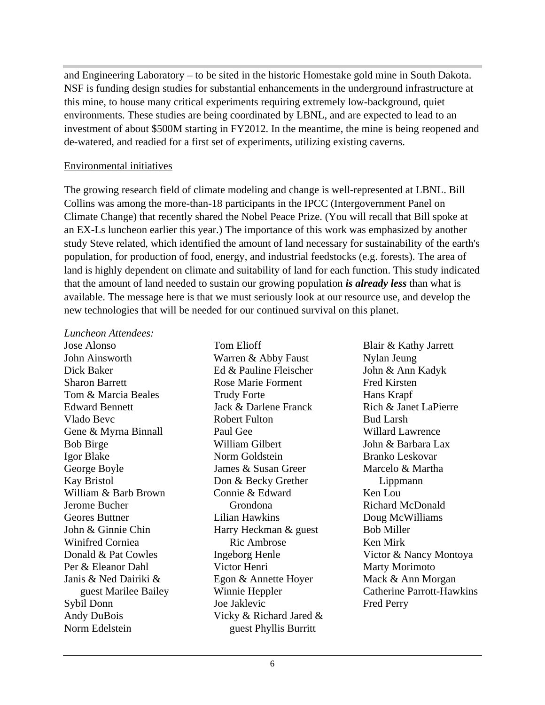and Engineering Laboratory – to be sited in the historic Homestake gold mine in South Dakota. NSF is funding design studies for substantial enhancements in the underground infrastructure at this mine, to house many critical experiments requiring extremely low-background, quiet environments. These studies are being coordinated by LBNL, and are expected to lead to an investment of about \$500M starting in FY2012. In the meantime, the mine is being reopened and de-watered, and readied for a first set of experiments, utilizing existing caverns.

#### Environmental initiatives

The growing research field of climate modeling and change is well-represented at LBNL. Bill Collins was among the more-than-18 participants in the IPCC (Intergovernment Panel on Climate Change) that recently shared the Nobel Peace Prize. (You will recall that Bill spoke at an EX-Ls luncheon earlier this year.) The importance of this work was emphasized by another study Steve related, which identified the amount of land necessary for sustainability of the earth's population, for production of food, energy, and industrial feedstocks (e.g. forests). The area of land is highly dependent on climate and suitability of land for each function. This study indicated that the amount of land needed to sustain our growing population *is already less* than what is available. The message here is that we must seriously look at our resource use, and develop the new technologies that will be needed for our continued survival on this planet.

#### *Luncheon Attendees:*

Edward Bennett **Edward Bennett** Jack & Darlene Franck Rich & Janet LaPierre Gene & Myrna Binnall Geores Buttner **Communist Elizabeth Communist Communist Communist Communist Communist Communist Communist Communist Communist Communist Communist Communist Communist Communist Communist Communist Communist Communist Commun** Sybil Donn Sybil Donn Joe Jaklevic Fred Perry Andy DuBois **State State State State State State State State State State State State State State State State State State State State State State State State State State State State State State State State State State State** Norm Edelstein **Example 2018** Superster Phyllis Burritt

Warren & Abby Faust Nylan Jeung William Gilbert **State Leaf** John & Barbara Lax James & Susan Greer Connie & Edward Harry Heckman & guest Joe Jaklevic guest Phyllis Burritt

Jose Alonso **I** Tom Elioff **Blair & Kathy Jarrett** John Ainsworth Dick Baker Ed & Pauline Fleischer Sharon Barrett Rose Marie Forment Tom & Marcia Beales Trudy Forte **Fixally** Hans Krapf Vlado Bevc Bob Birge **Source Accord Bob Birge School** William Gilbert **Source School School School** School School School School School School School School School School School School School School School School School School School Igor Blake **International Studiers** Norm Goldstein **Branko Leskovar** George Boyle **Source Example 3 System Strute Strute 3 System Strute 3 System Strute 3 System** Marcelo & Martha Kay Bristol Don & Becky Grether William & Barb Brown Connie & Edward Ken Lou Jerome Bucher John & Ginnie Chin Winifred Corniea **Ric Ambrose Ken Mirk** Donald & Pat Cowles Ingeborg Henle Victor & Nancy Montoya Per & Eleanor Dahl Victor Henri Janis & Ned Dairiki & Egon & Annette Hoyer guest Marilee Bailey **Start Exercise Exercise Serverse Start Exercise Serverse Start Exercise Start Exercise S** Tom Elioff Blair & Kathy Jarrett Trudy Forte **Figure 1.1 Franch Hans Krapf** Jack & Darlene Franck Robert Fulton Bud Larsh Paul Gee Willard Lawrence Norm Goldstein **Branko** Leskovar Grondona Richard McDonald Lilian Hawkins Ric Ambrose **Ken Mirk** Winnie Heppler Catherine Parrott-Hawkins Nylan Jeung John & Ann Kadyk Fred Kirsten Hans Krapf Rich & Janet LaPierre Bud Larsh Willard Lawrence John & Barbara Lax Branko Leskovar Marcelo & Martha Lippmann Ken Lou Richard McDonald Doug McWilliams Bob Miller Ken Mirk Marty Morimoto Mack & Ann Morgan Fred Perry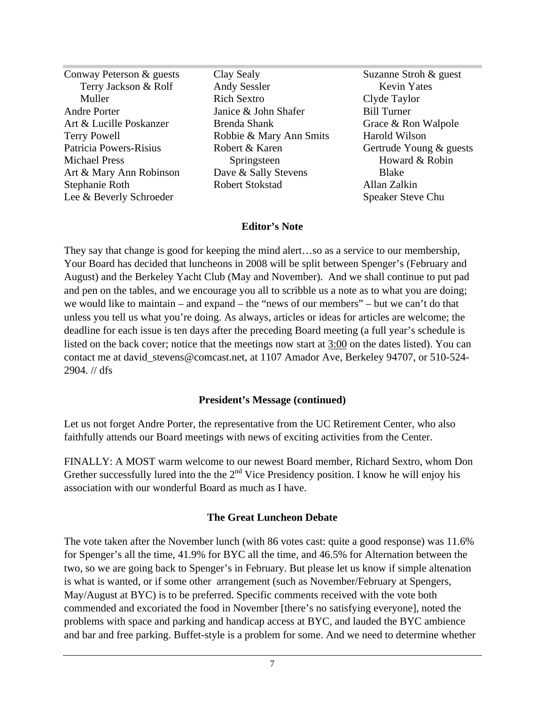Conway Peterson & guests Clay Sealy Terry Jackson & Rolf Andy Sessler Kevin Yates Muller Rich Sextro Clyde Taylor Andre Porter Janice & John Shafer Art & Lucille Poskanzer **Brenda Shank** Grace & Ron Walpole Terry Powell Robbie & Mary Ann Smits Patricia Powers-Risius **Robert & Karen** Gertrude Young & guests Michael Press Springsteen Springsteen Howard & Robin Art & Mary Ann Robinson Dave & Sally Stevens Blake Stephanie Roth **Robert Stokstad** Allan Zalkin Lee & Beverly Schroeder and Speaker Steve Chu Clay Sealy Suzanne Stroh & guest Andy Sessler Rich Sextro Clyde Taylor Brenda Shank **Brenda Shank** Grace & Ron Walpole Dave & Sally Stevens Blake Robert Stokstad

Springsteen **Superingsteen** Howard & Robin Suzanne Stroh & guest Kevin Yates Clyde Taylor Bill Turner Grace & Ron Walpole Harold Wilson Howard & Robin Blake **Blake** Allan Zalkin Speaker Steve Chu

#### **Editor's Note**

They say that change is good for keeping the mind alert…so as a service to our membership, Your Board has decided that luncheons in 2008 will be split between Spenger's (February and August) and the Berkeley Yacht Club (May and November). And we shall continue to put pad and pen on the tables, and we encourage you all to scribble us a note as to what you are doing; we would like to maintain – and expand – the "news of our members" – but we can't do that unless you tell us what you're doing. As always, articles or ideas for articles are welcome; the deadline for each issue is ten days after the preceding Board meeting (a full year's schedule is listed on the back cover; notice that the meetings now start at 3:00 on the dates listed). You can contact me at david\_stevens@comcast.net, at 1107 Amador Ave, Berkeley 94707, or 510-524- 2904. // dfs

#### **President's Message (continued)**

Let us not forget Andre Porter, the representative from the UC Retirement Center, who also faithfully attends our Board meetings with news of exciting activities from the Center.

FINALLY: A MOST warm welcome to our newest Board member, Richard Sextro, whom Don Grether successfully lured into the the  $2<sup>nd</sup>$  Vice Presidency position. I know he will enjoy his association with our wonderful Board as much as I have.

#### **The Great Luncheon Debate**

The vote taken after the November lunch (with 86 votes cast: quite a good response) was 11.6% for Spenger's all the time, 41.9% for BYC all the time, and 46.5% for Alternation between the two, so we are going back to Spenger's in February. But please let us know if simple altenation is what is wanted, or if some other arrangement (such as November/February at Spengers, May/August at BYC) is to be preferred. Specific comments received with the vote both commended and excoriated the food in November [there's no satisfying everyone], noted the problems with space and parking and handicap access at BYC, and lauded the BYC ambience and bar and free parking. Buffet-style is a problem for some. And we need to determine whether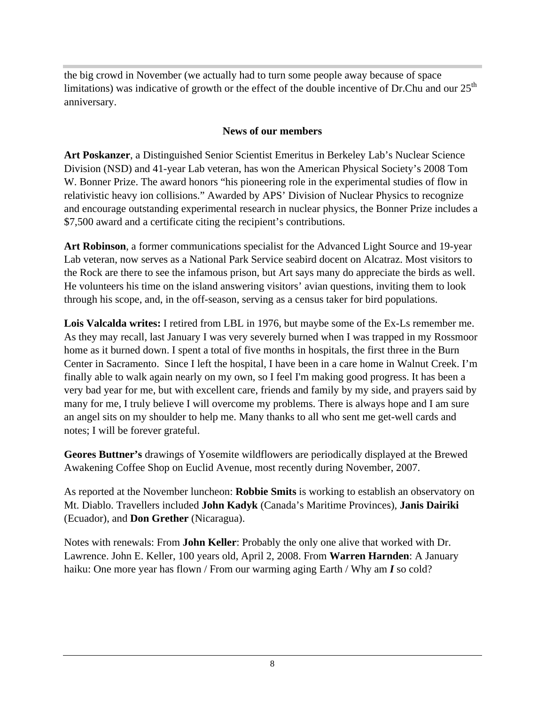the big crowd in November (we actually had to turn some people away because of space limitations) was indicative of growth or the effect of the double incentive of Dr.Chu and our  $25<sup>th</sup>$ anniversary.

#### **News of our members**

**Art Poskanzer**, a Distinguished Senior Scientist Emeritus in Berkeley Lab's Nuclear Science Division (NSD) and 41-year Lab veteran, has won the American Physical Society's 2008 Tom W. Bonner Prize. The award honors "his pioneering role in the experimental studies of flow in relativistic heavy ion collisions." Awarded by APS' Division of Nuclear Physics to recognize and encourage outstanding experimental research in nuclear physics, the Bonner Prize includes a \$7,500 award and a certificate citing the recipient's contributions.

**Art Robinson**, a former communications specialist for the Advanced Light Source and 19-year Lab veteran, now serves as a National Park Service seabird docent on Alcatraz. Most visitors to the Rock are there to see the infamous prison, but Art says many do appreciate the birds as well. He volunteers his time on the island answering visitors' avian questions, inviting them to look through his scope, and, in the off-season, serving as a census taker for bird populations.

**Lois Valcalda writes:** I retired from LBL in 1976, but maybe some of the Ex-Ls remember me. As they may recall, last January I was very severely burned when I was trapped in my Rossmoor home as it burned down. I spent a total of five months in hospitals, the first three in the Burn Center in Sacramento. Since I left the hospital, I have been in a care home in Walnut Creek. I'm finally able to walk again nearly on my own, so I feel I'm making good progress. It has been a very bad year for me, but with excellent care, friends and family by my side, and prayers said by many for me, I truly believe I will overcome my problems. There is always hope and I am sure an angel sits on my shoulder to help me. Many thanks to all who sent me get-well cards and notes; I will be forever grateful.

**Geores Buttner's** drawings of Yosemite wildflowers are periodically displayed at the Brewed Awakening Coffee Shop on Euclid Avenue, most recently during November, 2007.

As reported at the November luncheon: **Robbie Smits** is working to establish an observatory on Mt. Diablo. Travellers included **John Kadyk** (Canada's Maritime Provinces), **Janis Dairiki** (Ecuador), and **Don Grether** (Nicaragua).

Notes with renewals: From **John Keller**: Probably the only one alive that worked with Dr. Lawrence. John E. Keller, 100 years old, April 2, 2008. From **Warren Harnden**: A January haiku: One more year has flown / From our warming aging Earth / Why am **I** so cold?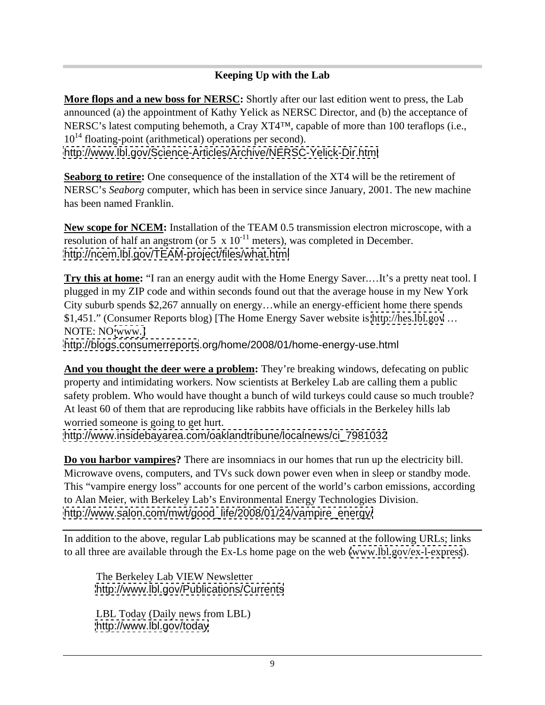# **Keeping Up with the Lab**

**More flops and a new boss for NERSC:** Shortly after our last edition went to press, the Lab announced (a) the appointment of Kathy Yelick as NERSC Director, and (b) the acceptance of NERSC's latest computing behemoth, a Cray XT4™, capable of more than 100 teraflops (i.e.,  $10^{14}$  floating-point (arithmetical) operations per second). <http://www.lbl.gov/Science-Articles/Archive/NERSC-Yelick-Dir.html>

**Seaborg to retire:** One consequence of the installation of the XT4 will be the retirement of NERSC's *Seaborg* computer, which has been in service since January, 2001. The new machine has been named Franklin.

**New scope for NCEM:** Installation of the TEAM 0.5 transmission electron microscope, with a resolution of half an angstrom (or 5  $\times$  10<sup>-11</sup> meters), was completed in December. <http://ncem.lbl.gov/TEAM-project/files/what.html>

**Try this at home:** "I ran an energy audit with the Home Energy Saver.…It's a pretty neat tool. I plugged in my ZIP code and within seconds found out that the average house in my New York City suburb spends \$2,267 annually on energy…while an energy-efficient home there spends \$1,451." (Consumer Reports blog) [The Home Energy Saver website is<http://hes.lbl.gov> … NOTE: NO [www.\]](http://www.])

<http://blogs.consumerreports>.org/home/2008/01/home-energy-use.html

**And you thought the deer were a problem:** They're breaking windows, defecating on public property and intimidating workers. Now scientists at Berkeley Lab are calling them a public safety problem. Who would have thought a bunch of wild turkeys could cause so much trouble? At least 60 of them that are reproducing like rabbits have officials in the Berkeley hills lab worried someone is going to get hurt.

[http://www.insidebayarea.com/oaklandtribune/localnews/ci\\_7981032](http://www.insidebayarea.com/oaklandtribune/localnews/ci_7981032)

**Do you harbor vampires?** There are insomniacs in our homes that run up the electricity bill. Microwave ovens, computers, and TVs suck down power even when in sleep or standby mode. This "vampire energy loss" accounts for one percent of the world's carbon emissions, according to Alan Meier, with Berkeley Lab's Environmental Energy Technologies Division. [http://www.salon.com/mwt/good\\_life/2008/01/24/vampire\\_energy/](http://www.salon.com/mwt/good_life/2008/01/24/vampire_energy/)

In addition to the above, regular Lab publications may be scanned at the following URLs; links to all three are available through the Ex-Ls home page on the web [\(www.lbl.gov/ex-l-express](http://www.lbl.gov/ex-l-express)).

The Berkeley Lab VIEW Newsletter <http://www.lbl.gov/Publications/Currents>

LBL Today (Daily news from LBL) <http://www.lbl.gov/today>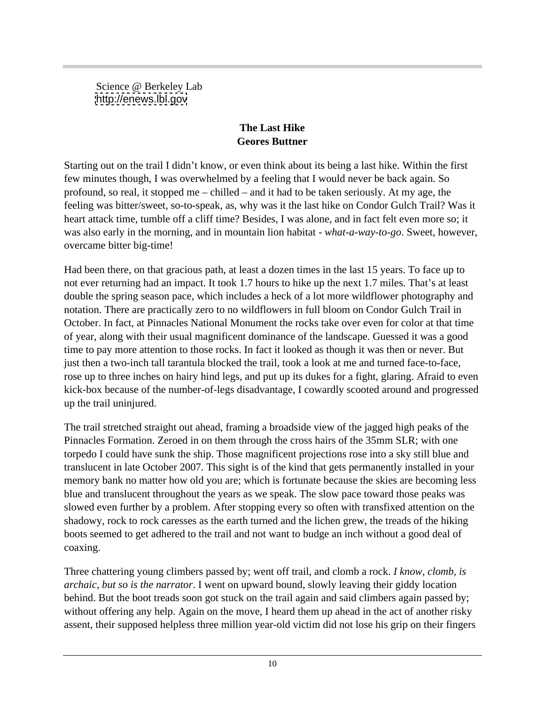Science @ Berkeley Lab <http://enews.lbl.gov>

# **The Last Hike Geores Buttner**

Starting out on the trail I didn't know, or even think about its being a last hike. Within the first few minutes though, I was overwhelmed by a feeling that I would never be back again. So profound, so real, it stopped me – chilled – and it had to be taken seriously. At my age, the feeling was bitter/sweet, so-to-speak, as, why was it the last hike on Condor Gulch Trail? Was it heart attack time, tumble off a cliff time? Besides, I was alone, and in fact felt even more so; it was also early in the morning, and in mountain lion habitat - *what-a-way-to-go*. Sweet, however, overcame bitter big-time!

Had been there, on that gracious path, at least a dozen times in the last 15 years. To face up to not ever returning had an impact. It took 1.7 hours to hike up the next 1.7 miles. That's at least double the spring season pace, which includes a heck of a lot more wildflower photography and notation. There are practically zero to no wildflowers in full bloom on Condor Gulch Trail in October. In fact, at Pinnacles National Monument the rocks take over even for color at that time of year, along with their usual magnificent dominance of the landscape. Guessed it was a good time to pay more attention to those rocks. In fact it looked as though it was then or never. But just then a two-inch tall tarantula blocked the trail, took a look at me and turned face-to-face, rose up to three inches on hairy hind legs, and put up its dukes for a fight, glaring. Afraid to even kick-box because of the number-of-legs disadvantage, I cowardly scooted around and progressed up the trail uninjured.

The trail stretched straight out ahead, framing a broadside view of the jagged high peaks of the Pinnacles Formation. Zeroed in on them through the cross hairs of the 35mm SLR; with one torpedo I could have sunk the ship. Those magnificent projections rose into a sky still blue and translucent in late October 2007. This sight is of the kind that gets permanently installed in your memory bank no matter how old you are; which is fortunate because the skies are becoming less blue and translucent throughout the years as we speak. The slow pace toward those peaks was slowed even further by a problem. After stopping every so often with transfixed attention on the shadowy, rock to rock caresses as the earth turned and the lichen grew, the treads of the hiking boots seemed to get adhered to the trail and not want to budge an inch without a good deal of coaxing.

Three chattering young climbers passed by; went off trail, and clomb a rock. *I know, clomb, is archaic, but so is the narrator*. I went on upward bound, slowly leaving their giddy location behind. But the boot treads soon got stuck on the trail again and said climbers again passed by; without offering any help. Again on the move, I heard them up ahead in the act of another risky assent, their supposed helpless three million year-old victim did not lose his grip on their fingers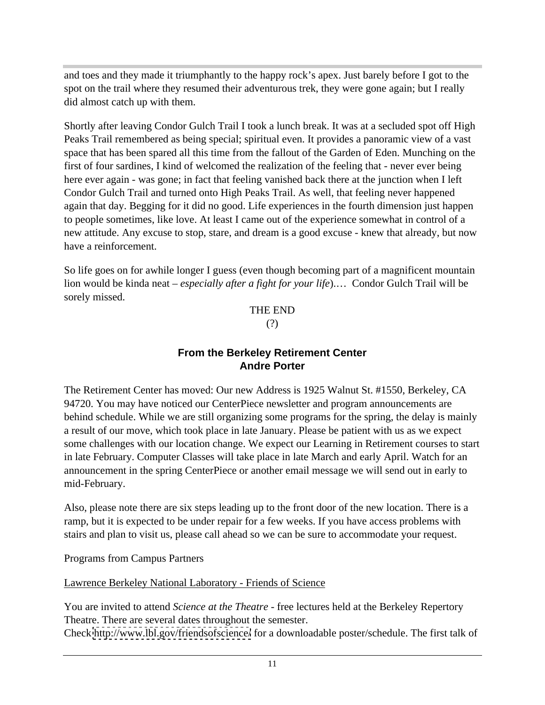and toes and they made it triumphantly to the happy rock's apex. Just barely before I got to the spot on the trail where they resumed their adventurous trek, they were gone again; but I really did almost catch up with them.

Shortly after leaving Condor Gulch Trail I took a lunch break. It was at a secluded spot off High Peaks Trail remembered as being special; spiritual even. It provides a panoramic view of a vast space that has been spared all this time from the fallout of the Garden of Eden. Munching on the first of four sardines, I kind of welcomed the realization of the feeling that - never ever being here ever again - was gone; in fact that feeling vanished back there at the junction when I left Condor Gulch Trail and turned onto High Peaks Trail. As well, that feeling never happened again that day. Begging for it did no good. Life experiences in the fourth dimension just happen to people sometimes, like love. At least I came out of the experience somewhat in control of a new attitude. Any excuse to stop, stare, and dream is a good excuse - knew that already, but now have a reinforcement.

So life goes on for awhile longer I guess (even though becoming part of a magnificent mountain lion would be kinda neat – *especially after a fight for your life*).… Condor Gulch Trail will be sorely missed.

#### THE END (?)

#### **From the Berkeley Retirement Center Andre Porter**

The Retirement Center has moved: Our new Address is 1925 Walnut St. #1550, Berkeley, CA 94720. You may have noticed our CenterPiece newsletter and program announcements are behind schedule. While we are still organizing some programs for the spring, the delay is mainly a result of our move, which took place in late January. Please be patient with us as we expect some challenges with our location change. We expect our Learning in Retirement courses to start in late February. Computer Classes will take place in late March and early April. Watch for an announcement in the spring CenterPiece or another email message we will send out in early to mid-February.

Also, please note there are six steps leading up to the front door of the new location. There is a ramp, but it is expected to be under repair for a few weeks. If you have access problems with stairs and plan to visit us, please call ahead so we can be sure to accommodate your request.

Programs from Campus Partners

Lawrence Berkeley National Laboratory - Friends of Science

You are invited to attend *Science at the Theatre* - free lectures held at the Berkeley Repertory Theatre. There are several dates throughout the semester.

Check <http://www.lbl.gov/friendsofscience/> for a downloadable poster/schedule. The first talk of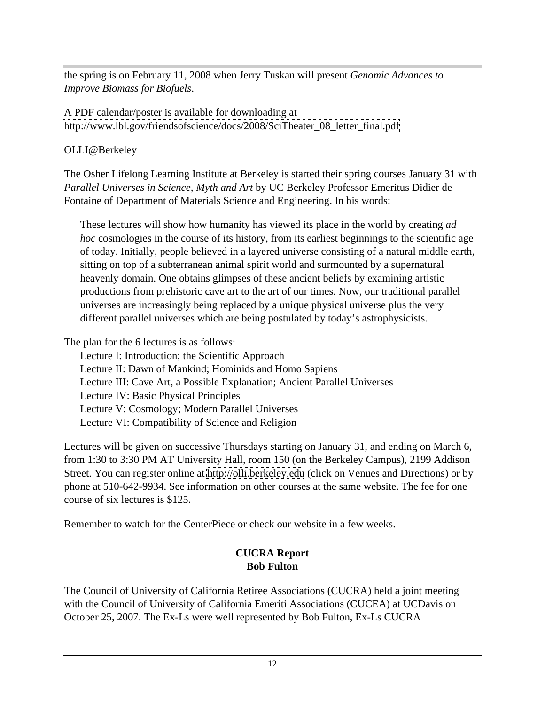the spring is on February 11, 2008 when Jerry Tuskan will present *Genomic Advances to Improve Biomass for Biofuels*.

A PDF calendar/poster is available for downloading at [http://www.lbl.gov/friendsofscience/docs/2008/SciTheater\\_08\\_letter\\_final.pdf](http://www.lbl.gov/friendsofscience/docs/2008/SciTheater_08_letter_final.pdf)

# OLLI@Berkeley

The Osher Lifelong Learning Institute at Berkeley is started their spring courses January 31 with *Parallel Universes in Science, Myth and Art* by UC Berkeley Professor Emeritus Didier de Fontaine of Department of Materials Science and Engineering. In his words:

These lectures will show how humanity has viewed its place in the world by creating *ad hoc* cosmologies in the course of its history, from its earliest beginnings to the scientific age of today. Initially, people believed in a layered universe consisting of a natural middle earth, sitting on top of a subterranean animal spirit world and surmounted by a supernatural heavenly domain. One obtains glimpses of these ancient beliefs by examining artistic productions from prehistoric cave art to the art of our times. Now, our traditional parallel universes are increasingly being replaced by a unique physical universe plus the very different parallel universes which are being postulated by today's astrophysicists.

The plan for the 6 lectures is as follows:

Lecture I: Introduction; the Scientific Approach Lecture II: Dawn of Mankind; Hominids and Homo Sapiens Lecture III: Cave Art, a Possible Explanation; Ancient Parallel Universes Lecture IV: Basic Physical Principles Lecture V: Cosmology; Modern Parallel Universes Lecture VI: Compatibility of Science and Religion

Lectures will be given on successive Thursdays starting on January 31, and ending on March 6, from 1:30 to 3:30 PM AT University Hall, room 150 (on the Berkeley Campus), 2199 Addison Street. You can register online at<http://olli.berkeley.edu> (click on Venues and Directions) or by phone at 510-642-9934. See information on other courses at the same website. The fee for one course of six lectures is \$125.

Remember to watch for the CenterPiece or check our website in a few weeks.

# **CUCRA Report Bob Fulton**

The Council of University of California Retiree Associations (CUCRA) held a joint meeting with the Council of University of California Emeriti Associations (CUCEA) at UCDavis on October 25, 2007. The Ex-Ls were well represented by Bob Fulton, Ex-Ls CUCRA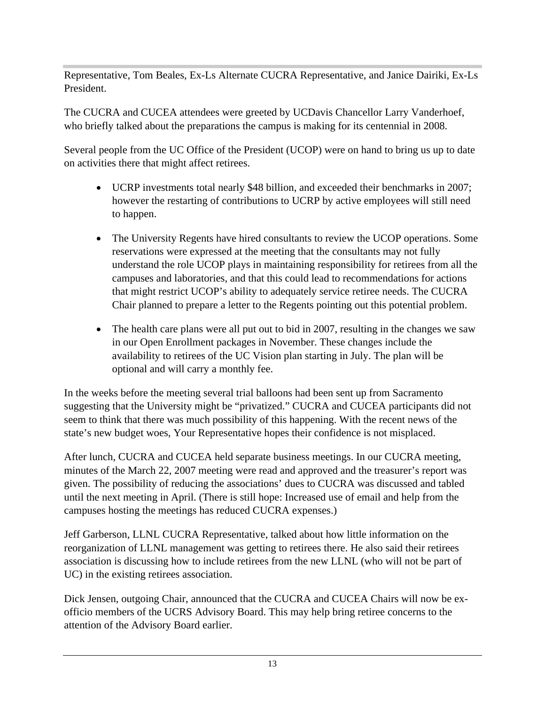Representative, Tom Beales, Ex-Ls Alternate CUCRA Representative, and Janice Dairiki, Ex-Ls President.

The CUCRA and CUCEA attendees were greeted by UCDavis Chancellor Larry Vanderhoef, who briefly talked about the preparations the campus is making for its centennial in 2008.

Several people from the UC Office of the President (UCOP) were on hand to bring us up to date on activities there that might affect retirees.

- UCRP investments total nearly \$48 billion, and exceeded their benchmarks in 2007; however the restarting of contributions to UCRP by active employees will still need to happen.
- The University Regents have hired consultants to review the UCOP operations. Some reservations were expressed at the meeting that the consultants may not fully understand the role UCOP plays in maintaining responsibility for retirees from all the campuses and laboratories, and that this could lead to recommendations for actions that might restrict UCOP's ability to adequately service retiree needs. The CUCRA Chair planned to prepare a letter to the Regents pointing out this potential problem.
- The health care plans were all put out to bid in 2007, resulting in the changes we saw in our Open Enrollment packages in November. These changes include the availability to retirees of the UC Vision plan starting in July. The plan will be optional and will carry a monthly fee.

In the weeks before the meeting several trial balloons had been sent up from Sacramento suggesting that the University might be "privatized." CUCRA and CUCEA participants did not seem to think that there was much possibility of this happening. With the recent news of the state's new budget woes, Your Representative hopes their confidence is not misplaced.

After lunch, CUCRA and CUCEA held separate business meetings. In our CUCRA meeting, minutes of the March 22, 2007 meeting were read and approved and the treasurer's report was given. The possibility of reducing the associations' dues to CUCRA was discussed and tabled until the next meeting in April. (There is still hope: Increased use of email and help from the campuses hosting the meetings has reduced CUCRA expenses.)

Jeff Garberson, LLNL CUCRA Representative, talked about how little information on the reorganization of LLNL management was getting to retirees there. He also said their retirees association is discussing how to include retirees from the new LLNL (who will not be part of UC) in the existing retirees association.

Dick Jensen, outgoing Chair, announced that the CUCRA and CUCEA Chairs will now be ex officio members of the UCRS Advisory Board. This may help bring retiree concerns to the attention of the Advisory Board earlier.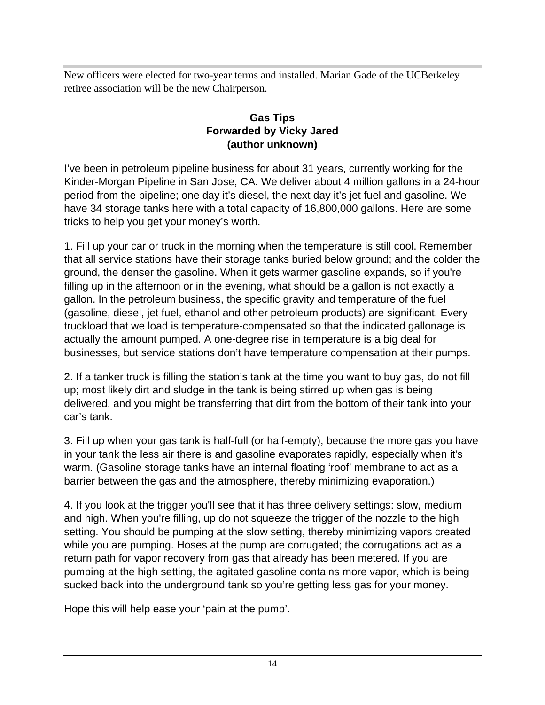New officers were elected for two-year terms and installed. Marian Gade of the UCBerkeley retiree association will be the new Chairperson.

#### **Gas Tips Forwarded by Vicky Jared (author unknown)**

I've been in petroleum pipeline business for about 31 years, currently working for the Kinder-Morgan Pipeline in San Jose, CA. We deliver about 4 million gallons in a 24-hour period from the pipeline; one day it's diesel, the next day it's jet fuel and gasoline. We have 34 storage tanks here with a total capacity of 16,800,000 gallons. Here are some tricks to help you get your money's worth.

1. Fill up your car or truck in the morning when the temperature is still cool. Remember that all service stations have their storage tanks buried below ground; and the colder the ground, the denser the gasoline. When it gets warmer gasoline expands, so if you're filling up in the afternoon or in the evening, what should be a gallon is not exactly a gallon. In the petroleum business, the specific gravity and temperature of the fuel (gasoline, diesel, jet fuel, ethanol and other petroleum products) are significant. Every truckload that we load is temperature-compensated so that the indicated gallonage is actually the amount pumped. A one-degree rise in temperature is a big deal for businesses, but service stations don't have temperature compensation at their pumps.

2. If a tanker truck is filling the station's tank at the time you want to buy gas, do not fill up; most likely dirt and sludge in the tank is being stirred up when gas is being delivered, and you might be transferring that dirt from the bottom of their tank into your car's tank.

3. Fill up when your gas tank is half-full (or half-empty), because the more gas you have in your tank the less air there is and gasoline evaporates rapidly, especially when it's warm. (Gasoline storage tanks have an internal floating 'roof' membrane to act as a barrier between the gas and the atmosphere, thereby minimizing evaporation.)

4. If you look at the trigger you'll see that it has three delivery settings: slow, medium and high. When you're filling, up do not squeeze the trigger of the nozzle to the high setting. You should be pumping at the slow setting, thereby minimizing vapors created while you are pumping. Hoses at the pump are corrugated; the corrugations act as a return path for vapor recovery from gas that already has been metered. If you are pumping at the high setting, the agitated gasoline contains more vapor, which is being sucked back into the underground tank so you're getting less gas for your money.

Hope this will help ease your 'pain at the pump'.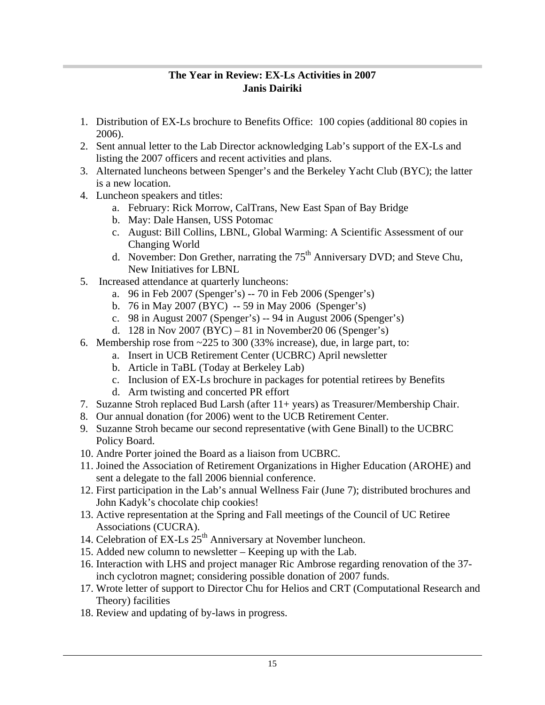#### **The Year in Review: EX-Ls Activities in 2007 Janis Dairiki**

- 1. Distribution of EX-Ls brochure to Benefits Office: 100 copies (additional 80 copies in 2006).
- 2. Sent annual letter to the Lab Director acknowledging Lab's support of the EX-Ls and listing the 2007 officers and recent activities and plans.
- 3. Alternated luncheons between Spenger's and the Berkeley Yacht Club (BYC); the latter is a new location.
- 4. Luncheon speakers and titles:
	- a. February: Rick Morrow, CalTrans, New East Span of Bay Bridge
	- b. May: Dale Hansen, USS Potomac
	- c. August: Bill Collins, LBNL, Global Warming: A Scientific Assessment of our Changing World
	- d. November: Don Grether, narrating the  $75<sup>th</sup>$  Anniversary DVD; and Steve Chu, New Initiatives for LBNL
- 5. Increased attendance at quarterly luncheons:
	- a. 96 in Feb 2007 (Spenger's) -- 70 in Feb 2006 (Spenger's)
	- b. 76 in May 2007 (BYC) -- 59 in May 2006 (Spenger's)
	- c. 98 in August 2007 (Spenger's) -- 94 in August 2006 (Spenger's)
	- d. 128 in Nov 2007 (BYC) 81 in November 20 06 (Spenger's)
- 6. Membership rose from  $\approx$  225 to 300 (33% increase), due, in large part, to:
	- a. Insert in UCB Retirement Center (UCBRC) April newsletter
	- b. Article in TaBL (Today at Berkeley Lab)
	- c. Inclusion of EX-Ls brochure in packages for potential retirees by Benefits
	- d. Arm twisting and concerted PR effort
- 7. Suzanne Stroh replaced Bud Larsh (after 11+ years) as Treasurer/Membership Chair.
- 8. Our annual donation (for 2006) went to the UCB Retirement Center.
- 9. Suzanne Stroh became our second representative (with Gene Binall) to the UCBRC Policy Board.
- 10. Andre Porter joined the Board as a liaison from UCBRC.
- 11. Joined the Association of Retirement Organizations in Higher Education (AROHE) and sent a delegate to the fall 2006 biennial conference.
- 12. First participation in the Lab's annual Wellness Fair (June 7); distributed brochures and John Kadyk's chocolate chip cookies!
- 13. Active representation at the Spring and Fall meetings of the Council of UC Retiree Associations (CUCRA).
- 14. Celebration of EX-Ls  $25<sup>th</sup>$  Anniversary at November luncheon.
- 15. Added new column to newsletter Keeping up with the Lab.
- 16. Interaction with LHS and project manager Ric Ambrose regarding renovation of the 37 inch cyclotron magnet; considering possible donation of 2007 funds.
- 17. Wrote letter of support to Director Chu for Helios and CRT (Computational Research and Theory) facilities
- 18. Review and updating of by-laws in progress.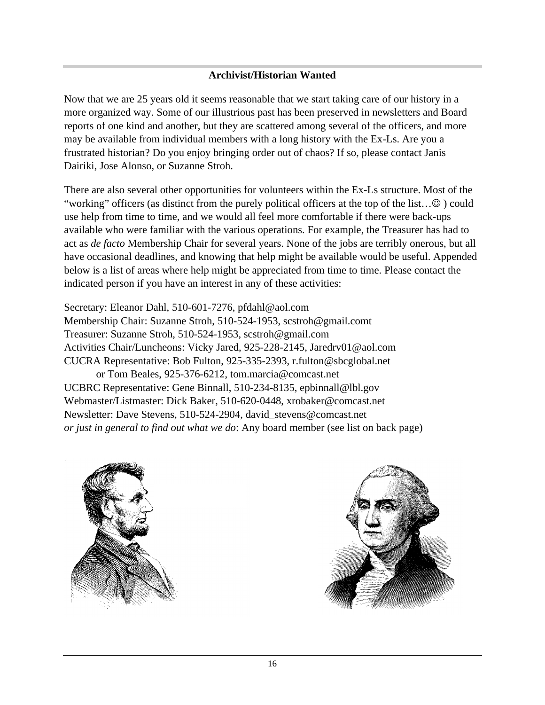#### **Archivist/Historian Wanted**

Now that we are 25 years old it seems reasonable that we start taking care of our history in a more organized way. Some of our illustrious past has been preserved in newsletters and Board reports of one kind and another, but they are scattered among several of the officers, and more may be available from individual members with a long history with the Ex-Ls. Are you a frustrated historian? Do you enjoy bringing order out of chaos? If so, please contact Janis Dairiki, Jose Alonso, or Suzanne Stroh.

There are also several other opportunities for volunteers within the Ex-Ls structure. Most of the "working" officers (as distinct from the purely political officers at the top of the list... $\circledcirc$ ) could use help from time to time, and we would all feel more comfortable if there were back-ups available who were familiar with the various operations. For example, the Treasurer has had to act as *de facto* Membership Chair for several years. None of the jobs are terribly onerous, but all have occasional deadlines, and knowing that help might be available would be useful. Appended below is a list of areas where help might be appreciated from time to time. Please contact the indicated person if you have an interest in any of these activities:

Secretary: Eleanor Dahl, 510-601-7276, pfdahl@aol.com Membership Chair: Suzanne Stroh, 510-524-1953, scstroh@gmail.comt Treasurer: Suzanne Stroh, 510-524-1953, scstroh@gmail.com Activities Chair/Luncheons: Vicky Jared, 925-228-2145, Jaredrv01@aol.com CUCRA Representative: Bob Fulton, 925-335-2393, r.fulton@sbcglobal.net or Tom Beales, 925-376-6212, tom.marcia@comcast.net UCBRC Representative: Gene Binnall, 510-234-8135, epbinnall@lbl.gov Webmaster/Listmaster: Dick Baker, 510-620-0448, xrobaker@comcast.net Newsletter: Dave Stevens, 510-524-2904, david stevens@comcast.net *or just in general to find out what we do*: Any board member (see list on back page)



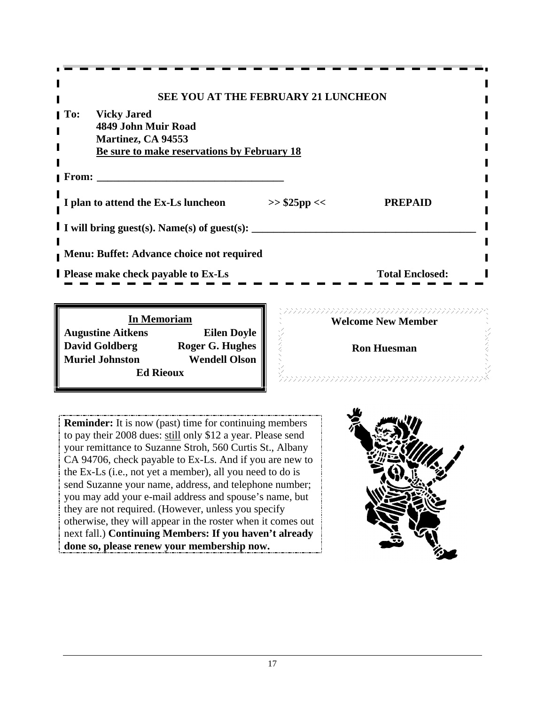| --------------------                                  |                        |  |
|-------------------------------------------------------|------------------------|--|
|                                                       |                        |  |
| SEE YOU AT THE FEBRUARY 21 LUNCHEON                   |                        |  |
| <b>To:</b> Vicky Jared                                |                        |  |
| 4849 John Muir Road                                   |                        |  |
| <b>Martinez, CA 94553</b>                             |                        |  |
| <b>Be sure to make reservations by February 18</b>    |                        |  |
| <b>From:</b>                                          |                        |  |
|                                                       |                        |  |
| I plan to attend the Ex-Ls luncheon<br>$>>$ \$25pp << | <b>PREPAID</b>         |  |
|                                                       |                        |  |
| I I will bring guest(s). Name(s) of guest(s):         |                        |  |
|                                                       |                        |  |
| Menu: Buffet: Advance choice not required             |                        |  |
|                                                       |                        |  |
| <b>I</b> Please make check payable to Ex-Ls           | <b>Total Enclosed:</b> |  |
|                                                       |                        |  |
|                                                       |                        |  |

**In Memoriam Service Construction Construction Construction Construction Construction Construction Construction Augustine Aitkens Eilen Doyle David Goldberg Roger G. Hughes Muriel Johnston Wendell Olson Ed Rieoux Ed Rieoux Ed Rieoux Ed Rieoux Ed Rieoux Ed Rieoux Ed Rieoux Edge Rieoux Edge Rieoux Edge Rieoux Edge Rieoux Edge Rieoux Edge Rieoux Edge Rieoux Edge Rieoux Edge Rieoux Edge Rieoux** 

**Welcome New Member**

**Ron Huesman**

**Reminder:** It is now (past) time for continuing members to pay their 2008 dues: still only \$12 a year. Please send your remittance to Suzanne Stroh, 560 Curtis St., Albany CA 94706, check payable to Ex-Ls. And if you are new to the Ex-Ls (i.e., not yet a member), all you need to do is send Suzanne your name, address, and telephone number; you may add your e-mail address and spouse's name, but they are not required. (However, unless you specify otherwise, they will appear in the roster when it comes out next fall.) **Continuing Members: If you haven't already done so, please renew your membership now.**